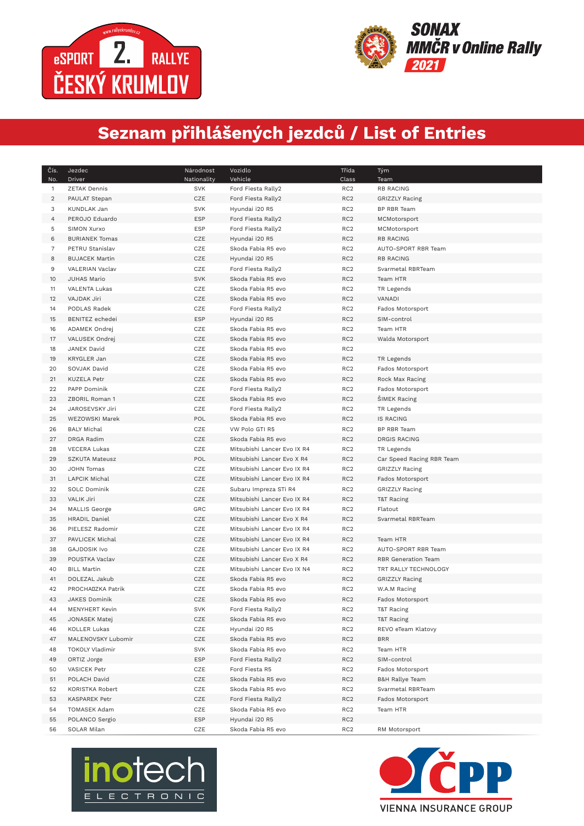

 $\overline{\phantom{a}}$ 



## **Seznam přihlášených jezdců / List of Entries**

| Čís.<br>No. | Jezdec<br>Driver      | Národnost<br>Nationality | Vozidlo<br>Vehicle          | Třída<br>Class  | Tým<br>Team                |
|-------------|-----------------------|--------------------------|-----------------------------|-----------------|----------------------------|
| 1           | <b>ZETAK Dennis</b>   | <b>SVK</b>               | Ford Fiesta Rally2          | RC <sub>2</sub> | <b>RB RACING</b>           |
| 2           | PAULAT Stepan         | CZE                      | Ford Fiesta Rally2          | RC <sub>2</sub> | <b>GRIZZLY Racing</b>      |
| 3           | KUNDLAK Jan           | <b>SVK</b>               | Hyundai i20 R5              | RC <sub>2</sub> | <b>BP RBR Team</b>         |
| 4           | PEROJO Eduardo        | <b>ESP</b>               | Ford Fiesta Rally2          | RC <sub>2</sub> | MCMotorsport               |
| 5           | SIMON Xurxo           | ESP                      | Ford Fiesta Rally2          | RC <sub>2</sub> | MCMotorsport               |
| 6           | <b>BURIANEK Tomas</b> | CZE                      | Hyundai i20 R5              | RC <sub>2</sub> | <b>RB RACING</b>           |
| 7           | PETRU Stanislav       | CZE                      | Skoda Fabia R5 evo          | RC <sub>2</sub> | AUTO-SPORT RBR Team        |
| 8           | <b>BUJACEK Martin</b> | CZE                      | Hyundai i20 R5              | RC <sub>2</sub> | <b>RB RACING</b>           |
| 9           | VALERIAN Vaclav       | CZE                      | Ford Fiesta Rally2          | RC <sub>2</sub> | Svarmetal RBRTeam          |
| 10          | JUHAS Mario           | <b>SVK</b>               | Skoda Fabia R5 evo          | RC <sub>2</sub> | Team HTR                   |
| 11          | VALENTA Lukas         | CZE                      | Skoda Fabia R5 evo          | RC <sub>2</sub> | TR Legends                 |
| 12          | VAJDAK Jiri           | CZE                      | Skoda Fabia R5 evo          | RC <sub>2</sub> | VANADI                     |
| 14          | PODLAS Radek          | CZE                      | Ford Fiesta Rally2          | RC <sub>2</sub> | Fados Motorsport           |
| 15          | BENITEZ echedei       | <b>ESP</b>               | Hyundai i20 R5              | RC <sub>2</sub> | SIM-control                |
| 16          | ADAMEK Ondrej         | CZE                      | Skoda Fabia R5 evo          | RC <sub>2</sub> | Team HTR                   |
| 17          | VALUSEK Ondrej        | CZE                      | Skoda Fabia R5 evo          | RC <sub>2</sub> | Walda Motorsport           |
| 18          | JANEK David           | CZE                      | Skoda Fabia R5 evo          | RC <sub>2</sub> |                            |
| 19          | <b>KRYGLER Jan</b>    | CZE                      | Skoda Fabia R5 evo          | RC <sub>2</sub> | TR Legends                 |
| 20          | SOVJAK David          | CZE                      | Skoda Fabia R5 evo          | RC <sub>2</sub> | Fados Motorsport           |
| 21          | <b>KUZELA Petr</b>    | CZE                      | Skoda Fabia R5 evo          | RC <sub>2</sub> | Rock Max Racing            |
| 22          | PAPP Dominik          | CZE                      | Ford Fiesta Rally2          | RC <sub>2</sub> | Fados Motorsport           |
| 23          | ZBORIL Roman 1        | CZE                      | Skoda Fabia R5 evo          | RC <sub>2</sub> | <b>SIMEK Racing</b>        |
| 24          | JAROSEVSKY Jiri       | CZE                      | Ford Fiesta Rally2          | RC <sub>2</sub> | TR Legends                 |
| 25          | <b>WEZOWSKI Marek</b> | POL                      | Skoda Fabia R5 evo          | RC <sub>2</sub> | <b>IS RACING</b>           |
| 26          | <b>BALY Michal</b>    | CZE                      | VW Polo GTI R5              | RC <sub>2</sub> | BP RBR Team                |
| 27          | DRGA Radim            | CZE                      | Skoda Fabia R5 evo          | RC <sub>2</sub> | <b>DRGIS RACING</b>        |
| 28          | <b>VECERA Lukas</b>   | CZE                      | Mitsubishi Lancer Evo IX R4 | RC <sub>2</sub> | TR Legends                 |
| 29          | SZKUTA Mateusz        | POL                      | Mitsubishi Lancer Evo X R4  | RC <sub>2</sub> | Car Speed Racing RBR Team  |
| 30          | JOHN Tomas            | CZE                      | Mitsubishi Lancer Evo IX R4 | RC <sub>2</sub> | GRIZZLY Racing             |
| 31          | LAPCIK Michal         | CZE                      | Mitsubishi Lancer Evo IX R4 | RC <sub>2</sub> | Fados Motorsport           |
| 32          | SOLC Dominik          | CZE                      | Subaru Impreza STi R4       | RC <sub>2</sub> | <b>GRIZZLY Racing</b>      |
| 33          | VALIK Jiri            | CZE                      | Mitsubishi Lancer Evo IX R4 | RC <sub>2</sub> | T&T Racing                 |
| 34          | <b>MALLIS George</b>  | GRC                      | Mitsubishi Lancer Evo IX R4 | RC <sub>2</sub> | Flatout                    |
| 35          | HRADIL Daniel         | CZE                      | Mitsubishi Lancer Evo X R4  | RC <sub>2</sub> | Svarmetal RBRTeam          |
| 36          | PIELESZ Radomir       | CZE                      | Mitsubishi Lancer Evo IX R4 | RC <sub>2</sub> |                            |
| 37          | PAVLICEK Michal       | CZE                      | Mitsubishi Lancer Evo IX R4 | RC <sub>2</sub> | Team HTR                   |
| 38          | <b>GAJDOSIK Ivo</b>   | CZE                      | Mitsubishi Lancer Evo IX R4 | RC <sub>2</sub> | AUTO-SPORT RBR Team        |
| 39          | POUSTKA Vaclav        | CZE                      | Mitsubishi Lancer Evo X R4  | RC <sub>2</sub> | <b>RBR</b> Generation Team |
| 40          | <b>BILL Martin</b>    | CZE                      | Mitsubishi Lancer Evo IX N4 | RC <sub>2</sub> | TRT RALLY TECHNOLOGY       |
| 41          | DOLEZAL Jakub         | CZE                      | Skoda Fabia R5 evo          | RC <sub>2</sub> | <b>GRIZZLY Racing</b>      |
| 42          | PROCHADZKA Patrik     | CZE                      | Skoda Fabia R5 evo          | RC <sub>2</sub> | W.A.M Racing               |
| 43          | JAKES Dominik         | CZE                      | Skoda Fabia R5 evo          | RC <sub>2</sub> | Fados Motorsport           |
| 44          | <b>MENYHERT Kevin</b> | <b>SVK</b>               | Ford Fiesta Rally2          | RC <sub>2</sub> | T&T Racing                 |
| 45          | <b>JONASEK Matej</b>  | CZE                      | Skoda Fabia R5 evo          | RC <sub>2</sub> | T&T Racing                 |
| 46          | <b>KOLLER Lukas</b>   | CZE                      | Hyundai i20 R5              | RC <sub>2</sub> | REVO eTeam Klatovy         |
| 47          | MALENOVSKY Lubomir    | CZE                      | Skoda Fabia R5 evo          | RC <sub>2</sub> | <b>BRR</b>                 |
| 48          | TOKOLY Vladimir       | <b>SVK</b>               | Skoda Fabia R5 evo          | RC <sub>2</sub> | Team HTR                   |
| 49          | ORTIZ Jorge           | <b>ESP</b>               | Ford Fiesta Rally2          | RC <sub>2</sub> | SIM-control                |
| 50          | <b>VASICEK Petr</b>   | CZE                      | Ford Fiesta R5              | RC <sub>2</sub> | Fados Motorsport           |
| 51          | POLACH David          | CZE                      | Skoda Fabia R5 evo          | RC <sub>2</sub> | <b>B&amp;H Rallye Team</b> |
| 52          | KORISTKA Robert       | CZE                      | Skoda Fabia R5 evo          | RC <sub>2</sub> | Svarmetal RBRTeam          |
| 53          | KASPAREK Petr         | CZE                      | Ford Fiesta Rally2          | RC <sub>2</sub> | Fados Motorsport           |
| 54          | TOMASEK Adam          | CZE                      | Skoda Fabia R5 evo          | RC <sub>2</sub> | Team HTR                   |
| 55          | POLANCO Sergio        | <b>ESP</b>               | Hyundai i20 R5              | RC <sub>2</sub> |                            |
| 56          | SOLAR Milan           | CZE                      | Skoda Fabia R5 evo          | RC <sub>2</sub> | RM Motorsport              |



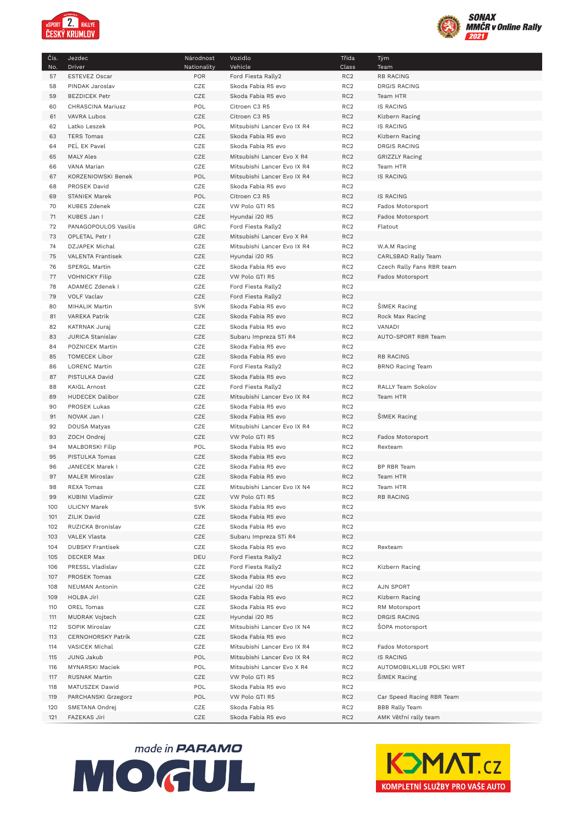



| Čís.       | Jezdec                                  | Národnost   | Vozidlo                                  | Třída                              | Tým                                                |
|------------|-----------------------------------------|-------------|------------------------------------------|------------------------------------|----------------------------------------------------|
| No.        | Driver                                  | Nationality | Vehicle                                  | Class                              | Team                                               |
| 57<br>58   | ESTEVEZ Oscar<br>PINDAK Jaroslav        | POR<br>CZE  | Ford Fiesta Rally2<br>Skoda Fabia R5 evo | RC <sub>2</sub><br>RC <sub>2</sub> | <b>RB RACING</b><br><b>DRGIS RACING</b>            |
| 59         | <b>BEZDICEK Petr</b>                    | CZE         | Skoda Fabia R5 evo                       | RC <sub>2</sub>                    | Team HTR                                           |
| 60         | CHRASCINA Mariusz                       | POL         | Citroen C3 R5                            | RC <sub>2</sub>                    | <b>IS RACING</b>                                   |
| 61         | VAVRA Lubos                             | CZE         | Citroen C3 R5                            | RC <sub>2</sub>                    | Kizbern Racing                                     |
| 62         | Latko Leszek                            | POL         | Mitsubishi Lancer Evo IX R4              | RC <sub>2</sub>                    | <b>IS RACING</b>                                   |
| 63         | <b>TERS Tomas</b>                       | CZE         | Skoda Fabia R5 evo                       | RC <sub>2</sub>                    | Kizbern Racing                                     |
| 64         | PEL EK Pavel                            | CZE         | Skoda Fabia R5 evo                       | RC <sub>2</sub>                    | <b>DRGIS RACING</b>                                |
| 65         | <b>MALY Ales</b>                        | CZE         | Mitsubishi Lancer Evo X R4               | RC <sub>2</sub>                    | <b>GRIZZLY Racing</b>                              |
| 66         | VANA Marian                             | CZE         | Mitsubishi Lancer Evo IX R4              | RC <sub>2</sub>                    | Team HTR                                           |
| 67         | KORZENIOWSKI Benek                      | POL         | Mitsubishi Lancer Evo IX R4              | RC <sub>2</sub>                    | IS RACING                                          |
| 68         | PROSEK David                            | CZE         | Skoda Fabia R5 evo                       | RC <sub>2</sub>                    |                                                    |
| 69         | STANIEK Marek                           | POL         | Citroen C3 R5                            | RC <sub>2</sub>                    | <b>IS RACING</b>                                   |
| 70<br>71   | <b>KUBES Zdenek</b>                     | CZE<br>CZE  | VW Polo GTI R5<br>Hyundai i20 R5         | RC <sub>2</sub><br>RC <sub>2</sub> | Fados Motorsport                                   |
| 72         | KUBES Jan I<br>PANAGOPOULOS Vasilis     | GRC         | Ford Fiesta Rally2                       | RC <sub>2</sub>                    | Fados Motorsport<br>Flatout                        |
| 73         | OPLETAL Petr I                          | CZE         | Mitsubishi Lancer Evo X R4               | RC <sub>2</sub>                    |                                                    |
| 74         | DZJAPEK Michal                          | CZE         | Mitsubishi Lancer Evo IX R4              | RC <sub>2</sub>                    | W.A.M Racing                                       |
| 75         | VALENTA Frantisek                       | CZE         | Hyundai i20 R5                           | RC <sub>2</sub>                    | CARLSBAD Rally Team                                |
| 76         | SPERGL Martin                           | CZE         | Skoda Fabia R5 evo                       | RC <sub>2</sub>                    | Czech Rally Fans RBR team                          |
| 77         | <b>VOHNICKY Filip</b>                   | CZE         | VW Polo GTI R5                           | RC <sub>2</sub>                    | Fados Motorsport                                   |
| 78         | ADAMEC Zdenek I                         | CZE         | Ford Fiesta Rally2                       | RC <sub>2</sub>                    |                                                    |
| 79         | <b>VOLF Vaclav</b>                      | CZE         | Ford Fiesta Rally2                       | RC <sub>2</sub>                    |                                                    |
| 80         | MIHALIK Martin                          | <b>SVK</b>  | Skoda Fabia R5 evo                       | RC <sub>2</sub>                    | <b>SIMEK Racing</b>                                |
| 81         | VAREKA Patrik                           | CZE         | Skoda Fabia R5 evo                       | RC <sub>2</sub>                    | Rock Max Racing                                    |
| 82         | KATRNAK Juraj                           | CZE         | Skoda Fabia R5 evo                       | RC <sub>2</sub>                    | VANADI                                             |
| 83         | JURICA Stanislav                        | CZE         | Subaru Impreza STi R4                    | RC <sub>2</sub>                    | AUTO-SPORT RBR Team                                |
| 84<br>85   | POZNICEK Martin<br><b>TOMECEK Libor</b> | CZE<br>CZE  | Skoda Fabia R5 evo<br>Skoda Fabia R5 evo | RC <sub>2</sub><br>RC <sub>2</sub> | <b>RB RACING</b>                                   |
| 86         | LORENC Martin                           | CZE         | Ford Fiesta Rally2                       | RC <sub>2</sub>                    | <b>BRNO Racing Team</b>                            |
| 87         | PISTULKA David                          | CZE         | Skoda Fabia R5 evo                       | RC <sub>2</sub>                    |                                                    |
| 88         | <b>KAIGL Arnost</b>                     | CZE         | Ford Fiesta Rally2                       | RC <sub>2</sub>                    | RALLY Team Sokolov                                 |
| 89         | HUDECEK Dalibor                         | CZE         | Mitsubishi Lancer Evo IX R4              | RC <sub>2</sub>                    | Team HTR                                           |
| 90         | PROSEK Lukas                            | CZE         | Skoda Fabia R5 evo                       | RC <sub>2</sub>                    |                                                    |
| 91         | NOVAK Jan I                             | CZE         | Skoda Fabia R5 evo                       | RC <sub>2</sub>                    | <b>SIMEK Racing</b>                                |
| 92         | DOUSA Matyas                            | CZE         | Mitsubishi Lancer Evo IX R4              | RC <sub>2</sub>                    |                                                    |
| 93         | ZOCH Ondrej                             | CZE         | VW Polo GTI R5                           | RC <sub>2</sub>                    | Fados Motorsport                                   |
| 94         | MALBORSKI Filip                         | POL         | Skoda Fabia R5 evo                       | RC <sub>2</sub>                    | Rexteam                                            |
| 95<br>96   | PISTULKA Tomas<br>JANECEK Marek I       | CZE<br>CZE  | Skoda Fabia R5 evo<br>Skoda Fabia R5 evo | RC <sub>2</sub><br>RC <sub>2</sub> | BP RBR Team                                        |
| 97         | <b>MALER Miroslav</b>                   | CZE         | Skoda Fabia R5 evo                       | RC <sub>2</sub>                    | Team HTR                                           |
| 98         | <b>REXA Tomas</b>                       | CZE         | Mitsubishi Lancer Evo IX N4              | RC <sub>2</sub>                    | Team HTR                                           |
| 99         | KUBINI Vladimir                         | CZE         | VW Polo GTI R5                           | RC <sub>2</sub>                    | RB RACING                                          |
| 100        | ULICNY Marek                            | <b>SVK</b>  | Skoda Fabia R5 evo                       | RC <sub>2</sub>                    |                                                    |
| 101        | ZILIK David                             | CZE         | Skoda Fabia R5 evo                       | RC <sub>2</sub>                    |                                                    |
| 102        | RUZICKA Bronislav                       | CZE         | Skoda Fabia R5 evo                       | RC <sub>2</sub>                    |                                                    |
| 103        | VALEK Vlasta                            | CZE         | Subaru Impreza STi R4                    | RC <sub>2</sub>                    |                                                    |
| 104        | <b>DUBSKY Frantisek</b>                 | CZE         | Skoda Fabia R5 evo                       | RC <sub>2</sub>                    | Rexteam                                            |
| 105        | <b>DECKER Max</b>                       | DEU         | Ford Fiesta Rally2                       | RC <sub>2</sub>                    |                                                    |
| 106        | PRESSL Vladislav                        | CZE         | Ford Fiesta Rally2                       | RC <sub>2</sub>                    | Kizbern Racing                                     |
| 107        | PROSEK Tomas<br>NEUMAN Antonin          | CZE         | Skoda Fabia R5 evo<br>Hyundai i20 R5     | RC <sub>2</sub><br>RC <sub>2</sub> | AJN SPORT                                          |
| 108<br>109 | HOLBA Jiri                              | CZE<br>CZE  | Skoda Fabia R5 evo                       | RC <sub>2</sub>                    | Kizbern Racing                                     |
| 110        | OREL Tomas                              | CZE         | Skoda Fabia R5 evo                       | RC <sub>2</sub>                    | RM Motorsport                                      |
| 111        | MUDRAK Vojtech                          | CZE         | Hyundai i20 R5                           | RC <sub>2</sub>                    | DRGIS RACING                                       |
| 112        | SOPIK Miroslav                          | CZE         | Mitsubishi Lancer Evo IX N4              | RC <sub>2</sub>                    | SOPA motorsport                                    |
| 113        | CERNOHORSKY Patrik                      | CZE         | Skoda Fabia R5 evo                       | RC <sub>2</sub>                    |                                                    |
| 114        | VASICEK Michal                          | CZE         | Mitsubishi Lancer Evo IX R4              | RC <sub>2</sub>                    | Fados Motorsport                                   |
| 115        | JUNG Jakub                              | POL         | Mitsubishi Lancer Evo IX R4              | RC <sub>2</sub>                    | <b>IS RACING</b>                                   |
| 116        | MYNARSKI Maciek                         | POL         | Mitsubishi Lancer Evo X R4               | RC <sub>2</sub>                    | AUTOMOBILKLUB POLSKI WRT                           |
| 117        | RUSNAK Martin                           | CZE         | VW Polo GTI R5                           | RC <sub>2</sub>                    | <b>SIMEK Racing</b>                                |
| 118        | MATUSZEK Dawid                          | POL         | Skoda Fabia R5 evo                       | RC <sub>2</sub>                    |                                                    |
| 119        | PARCHANSKI Grzegorz                     | POL         | VW Polo GTI R5<br>Skoda Fabia R5         | RC <sub>2</sub><br>RC <sub>2</sub> | Car Speed Racing RBR Team<br><b>BBB Rally Team</b> |
| 120<br>121 | SMETANA Ondrej<br>FAZEKAS Jiri          | CZE<br>CZE  | Skoda Fabia R5 evo                       | RC <sub>2</sub>                    | AMK Větřní rally team                              |
|            |                                         |             |                                          |                                    |                                                    |



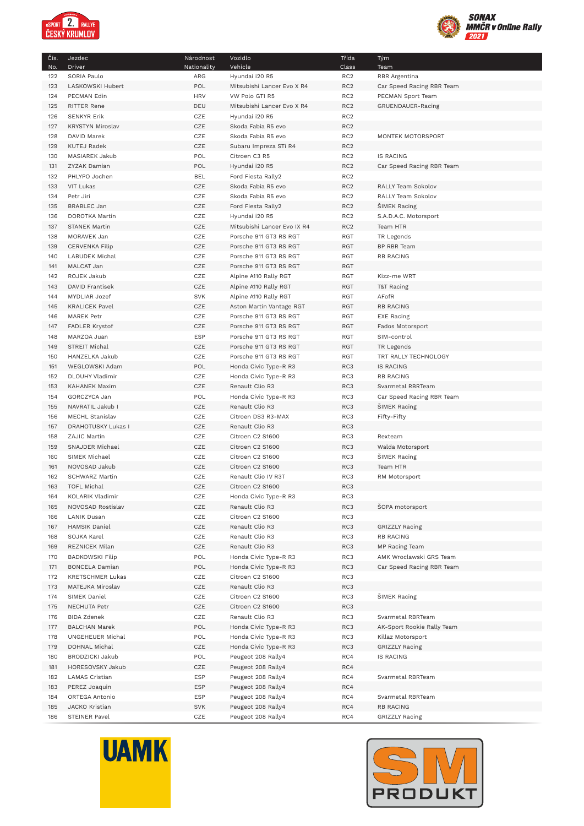



| 122<br>SORIA Paulo<br>Hyundai i20 R5<br>RC <sub>2</sub><br>ARG<br>RBR Argentina<br>POL<br>123<br>LASKOWSKI Hubert<br>RC <sub>2</sub><br>Mitsubishi Lancer Evo X R4<br>Car Speed Racing RBR Team<br><b>HRV</b><br>RC <sub>2</sub><br>124<br>PECMAN Edin<br>VW Polo GTI R5<br>PECMAN Sport Team<br>125<br>RITTER Rene<br>DEU<br>Mitsubishi Lancer Evo X R4<br>RC <sub>2</sub><br>GRUENDAUER-Racing<br>126<br><b>SENKYR Erik</b><br>CZE<br>Hyundai i20 R5<br>RC <sub>2</sub><br>CZE<br>RC <sub>2</sub><br>127<br>KRYSTYN Miroslav<br>Skoda Fabia R5 evo<br>CZE<br>RC <sub>2</sub><br>DAVID Marek<br>Skoda Fabia R5 evo<br>MONTEK MOTORSPORT<br>128<br>CZE<br>RC <sub>2</sub><br>129<br><b>KUTEJ Radek</b><br>Subaru Impreza STi R4<br>POL<br>RC <sub>2</sub><br>130<br>MASIAREK Jakub<br>Citroen C3 R5<br><b>IS RACING</b><br>131<br>POL<br>Hyundai i20 R5<br>RC <sub>2</sub><br>Car Speed Racing RBR Team<br>ZYZAK Damian<br><b>BEL</b><br>RC <sub>2</sub><br>132<br>PHLYPO Jochen<br>Ford Fiesta Rally2<br>CZE<br>RC <sub>2</sub><br>133<br><b>VIT Lukas</b><br>Skoda Fabia R5 evo<br>RALLY Team Sokolov<br>CZE<br>RC <sub>2</sub><br>134<br>Petr Jiri<br>Skoda Fabia R5 evo<br>RALLY Team Sokolov<br>CZE<br>135<br><b>BRABLEC Jan</b><br>Ford Fiesta Rally2<br>RC <sub>2</sub><br><b>SIMEK Racing</b><br>136<br>DOROTKA Martin<br>CZE<br>Hyundai i20 R5<br>RC <sub>2</sub><br>S.A.D.A.C. Motorsport<br>CZE<br>137<br>STANEK Martin<br>Mitsubishi Lancer Evo IX R4<br>RC <sub>2</sub><br>Team HTR<br>CZE<br>Porsche 911 GT3 RS RGT<br>RGT<br>138<br>MORAVEK Jan<br>TR Legends<br>CZE<br>RGT<br>139<br><b>CERVENKA Filip</b><br>Porsche 911 GT3 RS RGT<br>BP RBR Team<br>CZE<br>RGT<br>140<br>LABUDEK Michal<br>Porsche 911 GT3 RS RGT<br><b>RB RACING</b><br>CZE<br>141<br>MALCAT Jan<br>Porsche 911 GT3 RS RGT<br><b>RGT</b><br>CZE<br>142<br>ROJEK Jakub<br>Alpine A110 Rally RGT<br>RGT<br>Kizz-me WRT<br>CZE<br><b>RGT</b><br>143<br>DAVID Frantisek<br>Alpine A110 Rally RGT<br>T&T Racing<br><b>SVK</b><br>RGT<br>AFofR<br>144<br>MYDLIAR Jozef<br>Alpine A110 Rally RGT<br><b>KRALICEK Pavel</b><br>CZE<br>RGT<br><b>RB RACING</b><br>145<br>Aston Martin Vantage RGT<br>CZE<br>146<br><b>MAREK Petr</b><br>Porsche 911 GT3 RS RGT<br>RGT<br>EXE Racing<br>147<br>FADLER Krystof<br>CZE<br>Porsche 911 GT3 RS RGT<br><b>RGT</b><br>Fados Motorsport<br><b>ESP</b><br>MARZOA Juan<br>Porsche 911 GT3 RS RGT<br>RGT<br>148<br>SIM-control<br>CZE<br>RGT<br>149<br>STREIT Michal<br>Porsche 911 GT3 RS RGT<br>TR Legends<br>CZE<br>150<br>HANZELKA Jakub<br>Porsche 911 GT3 RS RGT<br>RGT<br>TRT RALLY TECHNOLOGY<br>POL<br>151<br>WEGLOWSKI Adam<br>Honda Civic Type-R R3<br>RC3<br><b>IS RACING</b><br>152<br>DLOUHY Vladimir<br>CZE<br>Honda Civic Type-R R3<br>RC3<br><b>RB RACING</b><br>CZE<br>153<br>RC3<br>KAHANEK Maxim<br>Renault Clio R3<br>Svarmetal RBRTeam<br>POL<br>RC3<br>154<br>GORCZYCA Jan<br>Honda Civic Type-R R3<br>Car Speed Racing RBR Team<br>CZE<br>RC3<br>Renault Clio R3<br><b>SIMEK Racing</b><br>155<br>NAVRATIL Jakub I<br>CZE<br>156<br>MECHL Stanislav<br>Citroen DS3 R3-MAX<br>RC3<br>Fifty-Fifty<br>CZE<br>157<br>DRAHOTUSKY Lukas I<br>Renault Clio R3<br>RC3<br>CZE<br>RC3<br>158<br>ZAJIC Martin<br>Citroen C2 S1600<br>Rexteam<br>CZE<br>RC3<br>159<br>SNAJDER Michael<br>Citroen C2 S1600<br>Walda Motorsport<br>CZE<br>RC3<br>160<br>SIMEK Michael<br>Citroen C2 S1600<br><b>SIMEK Racing</b><br>CZE<br>RC3<br>161<br>NOVOSAD Jakub<br>Citroen C2 S1600<br>Team HTR<br>162<br><b>SCHWARZ Martin</b><br>CZE<br>Renault Clio IV R3T<br>RC3<br>RM Motorsport<br>CZE<br>RC3<br>163<br><b>TOFL Michal</b><br>Citroen C2 S1600<br>KOLARIK Vladimir<br>CZE<br>Honda Civic Type-R R3<br>RC3<br>164<br>CZE<br>RC3<br>ŠOPA motorsport<br>NOVOSAD Rostislav<br>Renault Clio R3<br>165<br>CZE<br>Citroen C2 S1600<br>RC3<br>166<br><b>LANIK Dusan</b><br>CZE<br>RC3<br>167<br>HAMSIK Daniel<br>Renault Clio R3<br><b>GRIZZLY Racing</b><br>CZE<br>SOJKA Karel<br>Renault Clio R3<br>RC3<br><b>RB RACING</b><br>168<br>CZE<br>REZNICEK Milan<br>Renault Clio R3<br>RC3<br>MP Racing Team<br>169<br><b>BADKOWSKI Filip</b><br>POL<br>Honda Civic Type-R R3<br>RC3<br>AMK Wroclawski GRS Team<br>170<br>POL<br>RC3<br>171<br>BONCELA Damian<br>Honda Civic Type-R R3<br>Car Speed Racing RBR Team<br>CZE<br>172<br><b>KRETSCHMER Lukas</b><br>Citroen C2 S1600<br>RC3<br>CZE<br>RC3<br>173<br>MATEJKA Miroslav<br>Renault Clio R3<br>CZE<br>Citroen C2 S1600<br>RC3<br>ŠIMEK Racing<br>174<br>SIMEK Daniel<br>CZE<br>175<br>NECHUTA Petr<br>Citroen C2 S1600<br>RC3<br>CZE<br>Renault Clio R3<br>176<br><b>BIDA Zdenek</b><br>RC3<br>Svarmetal RBRTeam<br>POL<br>RC3<br>177<br><b>BALCHAN Marek</b><br>Honda Civic Type-R R3<br>AK-Sport Rookie Rally Team<br>POL<br>Honda Civic Type-R R3<br>178<br>UNGEHEUER Michal<br>RC3<br>Killaz Motorsport<br>179<br>DOHNAL Michal<br>CZE<br>Honda Civic Type-R R3<br>RC3<br><b>GRIZZLY Racing</b><br><b>BRODZICKI Jakub</b><br>POL<br>RC4<br>180<br>Peugeot 208 Rally4<br><b>IS RACING</b><br>RC4<br>181<br>HORESOVSKY Jakub<br>CZE<br>Peugeot 208 Rally4<br><b>ESP</b><br>Peugeot 208 Rally4<br>RC4<br>Svarmetal RBRTeam<br>182<br>LAMAS Cristian<br><b>ESP</b><br>Peugeot 208 Rally4<br>RC4<br>183<br>PEREZ Joaquin<br><b>ESP</b><br>RC4<br>184<br>ORTEGA Antonio<br>Peugeot 208 Rally4<br>Svarmetal RBRTeam<br><b>SVK</b><br>Peugeot 208 Rally4<br>RC4<br>185<br>JACKO Kristian<br><b>RB RACING</b><br>CZE<br>RC4<br>186<br>STEINER Pavel<br>Peugeot 208 Rally4<br><b>GRIZZLY Racing</b> | Čís. | Jezdec | Národnost   | Vozidlo | Třída | Tým  |
|------------------------------------------------------------------------------------------------------------------------------------------------------------------------------------------------------------------------------------------------------------------------------------------------------------------------------------------------------------------------------------------------------------------------------------------------------------------------------------------------------------------------------------------------------------------------------------------------------------------------------------------------------------------------------------------------------------------------------------------------------------------------------------------------------------------------------------------------------------------------------------------------------------------------------------------------------------------------------------------------------------------------------------------------------------------------------------------------------------------------------------------------------------------------------------------------------------------------------------------------------------------------------------------------------------------------------------------------------------------------------------------------------------------------------------------------------------------------------------------------------------------------------------------------------------------------------------------------------------------------------------------------------------------------------------------------------------------------------------------------------------------------------------------------------------------------------------------------------------------------------------------------------------------------------------------------------------------------------------------------------------------------------------------------------------------------------------------------------------------------------------------------------------------------------------------------------------------------------------------------------------------------------------------------------------------------------------------------------------------------------------------------------------------------------------------------------------------------------------------------------------------------------------------------------------------------------------------------------------------------------------------------------------------------------------------------------------------------------------------------------------------------------------------------------------------------------------------------------------------------------------------------------------------------------------------------------------------------------------------------------------------------------------------------------------------------------------------------------------------------------------------------------------------------------------------------------------------------------------------------------------------------------------------------------------------------------------------------------------------------------------------------------------------------------------------------------------------------------------------------------------------------------------------------------------------------------------------------------------------------------------------------------------------------------------------------------------------------------------------------------------------------------------------------------------------------------------------------------------------------------------------------------------------------------------------------------------------------------------------------------------------------------------------------------------------------------------------------------------------------------------------------------------------------------------------------------------------------------------------------------------------------------------------------------------------------------------------------------------------------------------------------------------------------------------------------------------------------------------------------------------------------------------------------------------------------------------------------------------------------------------------------------------------------------------------------------------------------------------------------------------------------------------------------------------------------------------------------------------------------------------------------------------------------------------------------------------------------------------------------------------------------------------------------------------------------------------------------------------------------------------------------------------------------------------------------------------------------------------------------------------------------------------------------------------------------------------------------------------------------------------------------------------------------------------------------------------------------------------------------------------------------------------------------------------------|------|--------|-------------|---------|-------|------|
|                                                                                                                                                                                                                                                                                                                                                                                                                                                                                                                                                                                                                                                                                                                                                                                                                                                                                                                                                                                                                                                                                                                                                                                                                                                                                                                                                                                                                                                                                                                                                                                                                                                                                                                                                                                                                                                                                                                                                                                                                                                                                                                                                                                                                                                                                                                                                                                                                                                                                                                                                                                                                                                                                                                                                                                                                                                                                                                                                                                                                                                                                                                                                                                                                                                                                                                                                                                                                                                                                                                                                                                                                                                                                                                                                                                                                                                                                                                                                                                                                                                                                                                                                                                                                                                                                                                                                                                                                                                                                                                                                                                                                                                                                                                                                                                                                                                                                                                                                                                                                                                                                                                                                                                                                                                                                                                                                                                                                                                                                                                                                                  | No.  | Driver | Nationality | Vehicle | Class | Team |
|                                                                                                                                                                                                                                                                                                                                                                                                                                                                                                                                                                                                                                                                                                                                                                                                                                                                                                                                                                                                                                                                                                                                                                                                                                                                                                                                                                                                                                                                                                                                                                                                                                                                                                                                                                                                                                                                                                                                                                                                                                                                                                                                                                                                                                                                                                                                                                                                                                                                                                                                                                                                                                                                                                                                                                                                                                                                                                                                                                                                                                                                                                                                                                                                                                                                                                                                                                                                                                                                                                                                                                                                                                                                                                                                                                                                                                                                                                                                                                                                                                                                                                                                                                                                                                                                                                                                                                                                                                                                                                                                                                                                                                                                                                                                                                                                                                                                                                                                                                                                                                                                                                                                                                                                                                                                                                                                                                                                                                                                                                                                                                  |      |        |             |         |       |      |
|                                                                                                                                                                                                                                                                                                                                                                                                                                                                                                                                                                                                                                                                                                                                                                                                                                                                                                                                                                                                                                                                                                                                                                                                                                                                                                                                                                                                                                                                                                                                                                                                                                                                                                                                                                                                                                                                                                                                                                                                                                                                                                                                                                                                                                                                                                                                                                                                                                                                                                                                                                                                                                                                                                                                                                                                                                                                                                                                                                                                                                                                                                                                                                                                                                                                                                                                                                                                                                                                                                                                                                                                                                                                                                                                                                                                                                                                                                                                                                                                                                                                                                                                                                                                                                                                                                                                                                                                                                                                                                                                                                                                                                                                                                                                                                                                                                                                                                                                                                                                                                                                                                                                                                                                                                                                                                                                                                                                                                                                                                                                                                  |      |        |             |         |       |      |
|                                                                                                                                                                                                                                                                                                                                                                                                                                                                                                                                                                                                                                                                                                                                                                                                                                                                                                                                                                                                                                                                                                                                                                                                                                                                                                                                                                                                                                                                                                                                                                                                                                                                                                                                                                                                                                                                                                                                                                                                                                                                                                                                                                                                                                                                                                                                                                                                                                                                                                                                                                                                                                                                                                                                                                                                                                                                                                                                                                                                                                                                                                                                                                                                                                                                                                                                                                                                                                                                                                                                                                                                                                                                                                                                                                                                                                                                                                                                                                                                                                                                                                                                                                                                                                                                                                                                                                                                                                                                                                                                                                                                                                                                                                                                                                                                                                                                                                                                                                                                                                                                                                                                                                                                                                                                                                                                                                                                                                                                                                                                                                  |      |        |             |         |       |      |
|                                                                                                                                                                                                                                                                                                                                                                                                                                                                                                                                                                                                                                                                                                                                                                                                                                                                                                                                                                                                                                                                                                                                                                                                                                                                                                                                                                                                                                                                                                                                                                                                                                                                                                                                                                                                                                                                                                                                                                                                                                                                                                                                                                                                                                                                                                                                                                                                                                                                                                                                                                                                                                                                                                                                                                                                                                                                                                                                                                                                                                                                                                                                                                                                                                                                                                                                                                                                                                                                                                                                                                                                                                                                                                                                                                                                                                                                                                                                                                                                                                                                                                                                                                                                                                                                                                                                                                                                                                                                                                                                                                                                                                                                                                                                                                                                                                                                                                                                                                                                                                                                                                                                                                                                                                                                                                                                                                                                                                                                                                                                                                  |      |        |             |         |       |      |
|                                                                                                                                                                                                                                                                                                                                                                                                                                                                                                                                                                                                                                                                                                                                                                                                                                                                                                                                                                                                                                                                                                                                                                                                                                                                                                                                                                                                                                                                                                                                                                                                                                                                                                                                                                                                                                                                                                                                                                                                                                                                                                                                                                                                                                                                                                                                                                                                                                                                                                                                                                                                                                                                                                                                                                                                                                                                                                                                                                                                                                                                                                                                                                                                                                                                                                                                                                                                                                                                                                                                                                                                                                                                                                                                                                                                                                                                                                                                                                                                                                                                                                                                                                                                                                                                                                                                                                                                                                                                                                                                                                                                                                                                                                                                                                                                                                                                                                                                                                                                                                                                                                                                                                                                                                                                                                                                                                                                                                                                                                                                                                  |      |        |             |         |       |      |
|                                                                                                                                                                                                                                                                                                                                                                                                                                                                                                                                                                                                                                                                                                                                                                                                                                                                                                                                                                                                                                                                                                                                                                                                                                                                                                                                                                                                                                                                                                                                                                                                                                                                                                                                                                                                                                                                                                                                                                                                                                                                                                                                                                                                                                                                                                                                                                                                                                                                                                                                                                                                                                                                                                                                                                                                                                                                                                                                                                                                                                                                                                                                                                                                                                                                                                                                                                                                                                                                                                                                                                                                                                                                                                                                                                                                                                                                                                                                                                                                                                                                                                                                                                                                                                                                                                                                                                                                                                                                                                                                                                                                                                                                                                                                                                                                                                                                                                                                                                                                                                                                                                                                                                                                                                                                                                                                                                                                                                                                                                                                                                  |      |        |             |         |       |      |
|                                                                                                                                                                                                                                                                                                                                                                                                                                                                                                                                                                                                                                                                                                                                                                                                                                                                                                                                                                                                                                                                                                                                                                                                                                                                                                                                                                                                                                                                                                                                                                                                                                                                                                                                                                                                                                                                                                                                                                                                                                                                                                                                                                                                                                                                                                                                                                                                                                                                                                                                                                                                                                                                                                                                                                                                                                                                                                                                                                                                                                                                                                                                                                                                                                                                                                                                                                                                                                                                                                                                                                                                                                                                                                                                                                                                                                                                                                                                                                                                                                                                                                                                                                                                                                                                                                                                                                                                                                                                                                                                                                                                                                                                                                                                                                                                                                                                                                                                                                                                                                                                                                                                                                                                                                                                                                                                                                                                                                                                                                                                                                  |      |        |             |         |       |      |
|                                                                                                                                                                                                                                                                                                                                                                                                                                                                                                                                                                                                                                                                                                                                                                                                                                                                                                                                                                                                                                                                                                                                                                                                                                                                                                                                                                                                                                                                                                                                                                                                                                                                                                                                                                                                                                                                                                                                                                                                                                                                                                                                                                                                                                                                                                                                                                                                                                                                                                                                                                                                                                                                                                                                                                                                                                                                                                                                                                                                                                                                                                                                                                                                                                                                                                                                                                                                                                                                                                                                                                                                                                                                                                                                                                                                                                                                                                                                                                                                                                                                                                                                                                                                                                                                                                                                                                                                                                                                                                                                                                                                                                                                                                                                                                                                                                                                                                                                                                                                                                                                                                                                                                                                                                                                                                                                                                                                                                                                                                                                                                  |      |        |             |         |       |      |
|                                                                                                                                                                                                                                                                                                                                                                                                                                                                                                                                                                                                                                                                                                                                                                                                                                                                                                                                                                                                                                                                                                                                                                                                                                                                                                                                                                                                                                                                                                                                                                                                                                                                                                                                                                                                                                                                                                                                                                                                                                                                                                                                                                                                                                                                                                                                                                                                                                                                                                                                                                                                                                                                                                                                                                                                                                                                                                                                                                                                                                                                                                                                                                                                                                                                                                                                                                                                                                                                                                                                                                                                                                                                                                                                                                                                                                                                                                                                                                                                                                                                                                                                                                                                                                                                                                                                                                                                                                                                                                                                                                                                                                                                                                                                                                                                                                                                                                                                                                                                                                                                                                                                                                                                                                                                                                                                                                                                                                                                                                                                                                  |      |        |             |         |       |      |
|                                                                                                                                                                                                                                                                                                                                                                                                                                                                                                                                                                                                                                                                                                                                                                                                                                                                                                                                                                                                                                                                                                                                                                                                                                                                                                                                                                                                                                                                                                                                                                                                                                                                                                                                                                                                                                                                                                                                                                                                                                                                                                                                                                                                                                                                                                                                                                                                                                                                                                                                                                                                                                                                                                                                                                                                                                                                                                                                                                                                                                                                                                                                                                                                                                                                                                                                                                                                                                                                                                                                                                                                                                                                                                                                                                                                                                                                                                                                                                                                                                                                                                                                                                                                                                                                                                                                                                                                                                                                                                                                                                                                                                                                                                                                                                                                                                                                                                                                                                                                                                                                                                                                                                                                                                                                                                                                                                                                                                                                                                                                                                  |      |        |             |         |       |      |
|                                                                                                                                                                                                                                                                                                                                                                                                                                                                                                                                                                                                                                                                                                                                                                                                                                                                                                                                                                                                                                                                                                                                                                                                                                                                                                                                                                                                                                                                                                                                                                                                                                                                                                                                                                                                                                                                                                                                                                                                                                                                                                                                                                                                                                                                                                                                                                                                                                                                                                                                                                                                                                                                                                                                                                                                                                                                                                                                                                                                                                                                                                                                                                                                                                                                                                                                                                                                                                                                                                                                                                                                                                                                                                                                                                                                                                                                                                                                                                                                                                                                                                                                                                                                                                                                                                                                                                                                                                                                                                                                                                                                                                                                                                                                                                                                                                                                                                                                                                                                                                                                                                                                                                                                                                                                                                                                                                                                                                                                                                                                                                  |      |        |             |         |       |      |
|                                                                                                                                                                                                                                                                                                                                                                                                                                                                                                                                                                                                                                                                                                                                                                                                                                                                                                                                                                                                                                                                                                                                                                                                                                                                                                                                                                                                                                                                                                                                                                                                                                                                                                                                                                                                                                                                                                                                                                                                                                                                                                                                                                                                                                                                                                                                                                                                                                                                                                                                                                                                                                                                                                                                                                                                                                                                                                                                                                                                                                                                                                                                                                                                                                                                                                                                                                                                                                                                                                                                                                                                                                                                                                                                                                                                                                                                                                                                                                                                                                                                                                                                                                                                                                                                                                                                                                                                                                                                                                                                                                                                                                                                                                                                                                                                                                                                                                                                                                                                                                                                                                                                                                                                                                                                                                                                                                                                                                                                                                                                                                  |      |        |             |         |       |      |
|                                                                                                                                                                                                                                                                                                                                                                                                                                                                                                                                                                                                                                                                                                                                                                                                                                                                                                                                                                                                                                                                                                                                                                                                                                                                                                                                                                                                                                                                                                                                                                                                                                                                                                                                                                                                                                                                                                                                                                                                                                                                                                                                                                                                                                                                                                                                                                                                                                                                                                                                                                                                                                                                                                                                                                                                                                                                                                                                                                                                                                                                                                                                                                                                                                                                                                                                                                                                                                                                                                                                                                                                                                                                                                                                                                                                                                                                                                                                                                                                                                                                                                                                                                                                                                                                                                                                                                                                                                                                                                                                                                                                                                                                                                                                                                                                                                                                                                                                                                                                                                                                                                                                                                                                                                                                                                                                                                                                                                                                                                                                                                  |      |        |             |         |       |      |
|                                                                                                                                                                                                                                                                                                                                                                                                                                                                                                                                                                                                                                                                                                                                                                                                                                                                                                                                                                                                                                                                                                                                                                                                                                                                                                                                                                                                                                                                                                                                                                                                                                                                                                                                                                                                                                                                                                                                                                                                                                                                                                                                                                                                                                                                                                                                                                                                                                                                                                                                                                                                                                                                                                                                                                                                                                                                                                                                                                                                                                                                                                                                                                                                                                                                                                                                                                                                                                                                                                                                                                                                                                                                                                                                                                                                                                                                                                                                                                                                                                                                                                                                                                                                                                                                                                                                                                                                                                                                                                                                                                                                                                                                                                                                                                                                                                                                                                                                                                                                                                                                                                                                                                                                                                                                                                                                                                                                                                                                                                                                                                  |      |        |             |         |       |      |
|                                                                                                                                                                                                                                                                                                                                                                                                                                                                                                                                                                                                                                                                                                                                                                                                                                                                                                                                                                                                                                                                                                                                                                                                                                                                                                                                                                                                                                                                                                                                                                                                                                                                                                                                                                                                                                                                                                                                                                                                                                                                                                                                                                                                                                                                                                                                                                                                                                                                                                                                                                                                                                                                                                                                                                                                                                                                                                                                                                                                                                                                                                                                                                                                                                                                                                                                                                                                                                                                                                                                                                                                                                                                                                                                                                                                                                                                                                                                                                                                                                                                                                                                                                                                                                                                                                                                                                                                                                                                                                                                                                                                                                                                                                                                                                                                                                                                                                                                                                                                                                                                                                                                                                                                                                                                                                                                                                                                                                                                                                                                                                  |      |        |             |         |       |      |
|                                                                                                                                                                                                                                                                                                                                                                                                                                                                                                                                                                                                                                                                                                                                                                                                                                                                                                                                                                                                                                                                                                                                                                                                                                                                                                                                                                                                                                                                                                                                                                                                                                                                                                                                                                                                                                                                                                                                                                                                                                                                                                                                                                                                                                                                                                                                                                                                                                                                                                                                                                                                                                                                                                                                                                                                                                                                                                                                                                                                                                                                                                                                                                                                                                                                                                                                                                                                                                                                                                                                                                                                                                                                                                                                                                                                                                                                                                                                                                                                                                                                                                                                                                                                                                                                                                                                                                                                                                                                                                                                                                                                                                                                                                                                                                                                                                                                                                                                                                                                                                                                                                                                                                                                                                                                                                                                                                                                                                                                                                                                                                  |      |        |             |         |       |      |
|                                                                                                                                                                                                                                                                                                                                                                                                                                                                                                                                                                                                                                                                                                                                                                                                                                                                                                                                                                                                                                                                                                                                                                                                                                                                                                                                                                                                                                                                                                                                                                                                                                                                                                                                                                                                                                                                                                                                                                                                                                                                                                                                                                                                                                                                                                                                                                                                                                                                                                                                                                                                                                                                                                                                                                                                                                                                                                                                                                                                                                                                                                                                                                                                                                                                                                                                                                                                                                                                                                                                                                                                                                                                                                                                                                                                                                                                                                                                                                                                                                                                                                                                                                                                                                                                                                                                                                                                                                                                                                                                                                                                                                                                                                                                                                                                                                                                                                                                                                                                                                                                                                                                                                                                                                                                                                                                                                                                                                                                                                                                                                  |      |        |             |         |       |      |
|                                                                                                                                                                                                                                                                                                                                                                                                                                                                                                                                                                                                                                                                                                                                                                                                                                                                                                                                                                                                                                                                                                                                                                                                                                                                                                                                                                                                                                                                                                                                                                                                                                                                                                                                                                                                                                                                                                                                                                                                                                                                                                                                                                                                                                                                                                                                                                                                                                                                                                                                                                                                                                                                                                                                                                                                                                                                                                                                                                                                                                                                                                                                                                                                                                                                                                                                                                                                                                                                                                                                                                                                                                                                                                                                                                                                                                                                                                                                                                                                                                                                                                                                                                                                                                                                                                                                                                                                                                                                                                                                                                                                                                                                                                                                                                                                                                                                                                                                                                                                                                                                                                                                                                                                                                                                                                                                                                                                                                                                                                                                                                  |      |        |             |         |       |      |
|                                                                                                                                                                                                                                                                                                                                                                                                                                                                                                                                                                                                                                                                                                                                                                                                                                                                                                                                                                                                                                                                                                                                                                                                                                                                                                                                                                                                                                                                                                                                                                                                                                                                                                                                                                                                                                                                                                                                                                                                                                                                                                                                                                                                                                                                                                                                                                                                                                                                                                                                                                                                                                                                                                                                                                                                                                                                                                                                                                                                                                                                                                                                                                                                                                                                                                                                                                                                                                                                                                                                                                                                                                                                                                                                                                                                                                                                                                                                                                                                                                                                                                                                                                                                                                                                                                                                                                                                                                                                                                                                                                                                                                                                                                                                                                                                                                                                                                                                                                                                                                                                                                                                                                                                                                                                                                                                                                                                                                                                                                                                                                  |      |        |             |         |       |      |
|                                                                                                                                                                                                                                                                                                                                                                                                                                                                                                                                                                                                                                                                                                                                                                                                                                                                                                                                                                                                                                                                                                                                                                                                                                                                                                                                                                                                                                                                                                                                                                                                                                                                                                                                                                                                                                                                                                                                                                                                                                                                                                                                                                                                                                                                                                                                                                                                                                                                                                                                                                                                                                                                                                                                                                                                                                                                                                                                                                                                                                                                                                                                                                                                                                                                                                                                                                                                                                                                                                                                                                                                                                                                                                                                                                                                                                                                                                                                                                                                                                                                                                                                                                                                                                                                                                                                                                                                                                                                                                                                                                                                                                                                                                                                                                                                                                                                                                                                                                                                                                                                                                                                                                                                                                                                                                                                                                                                                                                                                                                                                                  |      |        |             |         |       |      |
|                                                                                                                                                                                                                                                                                                                                                                                                                                                                                                                                                                                                                                                                                                                                                                                                                                                                                                                                                                                                                                                                                                                                                                                                                                                                                                                                                                                                                                                                                                                                                                                                                                                                                                                                                                                                                                                                                                                                                                                                                                                                                                                                                                                                                                                                                                                                                                                                                                                                                                                                                                                                                                                                                                                                                                                                                                                                                                                                                                                                                                                                                                                                                                                                                                                                                                                                                                                                                                                                                                                                                                                                                                                                                                                                                                                                                                                                                                                                                                                                                                                                                                                                                                                                                                                                                                                                                                                                                                                                                                                                                                                                                                                                                                                                                                                                                                                                                                                                                                                                                                                                                                                                                                                                                                                                                                                                                                                                                                                                                                                                                                  |      |        |             |         |       |      |
|                                                                                                                                                                                                                                                                                                                                                                                                                                                                                                                                                                                                                                                                                                                                                                                                                                                                                                                                                                                                                                                                                                                                                                                                                                                                                                                                                                                                                                                                                                                                                                                                                                                                                                                                                                                                                                                                                                                                                                                                                                                                                                                                                                                                                                                                                                                                                                                                                                                                                                                                                                                                                                                                                                                                                                                                                                                                                                                                                                                                                                                                                                                                                                                                                                                                                                                                                                                                                                                                                                                                                                                                                                                                                                                                                                                                                                                                                                                                                                                                                                                                                                                                                                                                                                                                                                                                                                                                                                                                                                                                                                                                                                                                                                                                                                                                                                                                                                                                                                                                                                                                                                                                                                                                                                                                                                                                                                                                                                                                                                                                                                  |      |        |             |         |       |      |
|                                                                                                                                                                                                                                                                                                                                                                                                                                                                                                                                                                                                                                                                                                                                                                                                                                                                                                                                                                                                                                                                                                                                                                                                                                                                                                                                                                                                                                                                                                                                                                                                                                                                                                                                                                                                                                                                                                                                                                                                                                                                                                                                                                                                                                                                                                                                                                                                                                                                                                                                                                                                                                                                                                                                                                                                                                                                                                                                                                                                                                                                                                                                                                                                                                                                                                                                                                                                                                                                                                                                                                                                                                                                                                                                                                                                                                                                                                                                                                                                                                                                                                                                                                                                                                                                                                                                                                                                                                                                                                                                                                                                                                                                                                                                                                                                                                                                                                                                                                                                                                                                                                                                                                                                                                                                                                                                                                                                                                                                                                                                                                  |      |        |             |         |       |      |
|                                                                                                                                                                                                                                                                                                                                                                                                                                                                                                                                                                                                                                                                                                                                                                                                                                                                                                                                                                                                                                                                                                                                                                                                                                                                                                                                                                                                                                                                                                                                                                                                                                                                                                                                                                                                                                                                                                                                                                                                                                                                                                                                                                                                                                                                                                                                                                                                                                                                                                                                                                                                                                                                                                                                                                                                                                                                                                                                                                                                                                                                                                                                                                                                                                                                                                                                                                                                                                                                                                                                                                                                                                                                                                                                                                                                                                                                                                                                                                                                                                                                                                                                                                                                                                                                                                                                                                                                                                                                                                                                                                                                                                                                                                                                                                                                                                                                                                                                                                                                                                                                                                                                                                                                                                                                                                                                                                                                                                                                                                                                                                  |      |        |             |         |       |      |
|                                                                                                                                                                                                                                                                                                                                                                                                                                                                                                                                                                                                                                                                                                                                                                                                                                                                                                                                                                                                                                                                                                                                                                                                                                                                                                                                                                                                                                                                                                                                                                                                                                                                                                                                                                                                                                                                                                                                                                                                                                                                                                                                                                                                                                                                                                                                                                                                                                                                                                                                                                                                                                                                                                                                                                                                                                                                                                                                                                                                                                                                                                                                                                                                                                                                                                                                                                                                                                                                                                                                                                                                                                                                                                                                                                                                                                                                                                                                                                                                                                                                                                                                                                                                                                                                                                                                                                                                                                                                                                                                                                                                                                                                                                                                                                                                                                                                                                                                                                                                                                                                                                                                                                                                                                                                                                                                                                                                                                                                                                                                                                  |      |        |             |         |       |      |
|                                                                                                                                                                                                                                                                                                                                                                                                                                                                                                                                                                                                                                                                                                                                                                                                                                                                                                                                                                                                                                                                                                                                                                                                                                                                                                                                                                                                                                                                                                                                                                                                                                                                                                                                                                                                                                                                                                                                                                                                                                                                                                                                                                                                                                                                                                                                                                                                                                                                                                                                                                                                                                                                                                                                                                                                                                                                                                                                                                                                                                                                                                                                                                                                                                                                                                                                                                                                                                                                                                                                                                                                                                                                                                                                                                                                                                                                                                                                                                                                                                                                                                                                                                                                                                                                                                                                                                                                                                                                                                                                                                                                                                                                                                                                                                                                                                                                                                                                                                                                                                                                                                                                                                                                                                                                                                                                                                                                                                                                                                                                                                  |      |        |             |         |       |      |
|                                                                                                                                                                                                                                                                                                                                                                                                                                                                                                                                                                                                                                                                                                                                                                                                                                                                                                                                                                                                                                                                                                                                                                                                                                                                                                                                                                                                                                                                                                                                                                                                                                                                                                                                                                                                                                                                                                                                                                                                                                                                                                                                                                                                                                                                                                                                                                                                                                                                                                                                                                                                                                                                                                                                                                                                                                                                                                                                                                                                                                                                                                                                                                                                                                                                                                                                                                                                                                                                                                                                                                                                                                                                                                                                                                                                                                                                                                                                                                                                                                                                                                                                                                                                                                                                                                                                                                                                                                                                                                                                                                                                                                                                                                                                                                                                                                                                                                                                                                                                                                                                                                                                                                                                                                                                                                                                                                                                                                                                                                                                                                  |      |        |             |         |       |      |
|                                                                                                                                                                                                                                                                                                                                                                                                                                                                                                                                                                                                                                                                                                                                                                                                                                                                                                                                                                                                                                                                                                                                                                                                                                                                                                                                                                                                                                                                                                                                                                                                                                                                                                                                                                                                                                                                                                                                                                                                                                                                                                                                                                                                                                                                                                                                                                                                                                                                                                                                                                                                                                                                                                                                                                                                                                                                                                                                                                                                                                                                                                                                                                                                                                                                                                                                                                                                                                                                                                                                                                                                                                                                                                                                                                                                                                                                                                                                                                                                                                                                                                                                                                                                                                                                                                                                                                                                                                                                                                                                                                                                                                                                                                                                                                                                                                                                                                                                                                                                                                                                                                                                                                                                                                                                                                                                                                                                                                                                                                                                                                  |      |        |             |         |       |      |
|                                                                                                                                                                                                                                                                                                                                                                                                                                                                                                                                                                                                                                                                                                                                                                                                                                                                                                                                                                                                                                                                                                                                                                                                                                                                                                                                                                                                                                                                                                                                                                                                                                                                                                                                                                                                                                                                                                                                                                                                                                                                                                                                                                                                                                                                                                                                                                                                                                                                                                                                                                                                                                                                                                                                                                                                                                                                                                                                                                                                                                                                                                                                                                                                                                                                                                                                                                                                                                                                                                                                                                                                                                                                                                                                                                                                                                                                                                                                                                                                                                                                                                                                                                                                                                                                                                                                                                                                                                                                                                                                                                                                                                                                                                                                                                                                                                                                                                                                                                                                                                                                                                                                                                                                                                                                                                                                                                                                                                                                                                                                                                  |      |        |             |         |       |      |
|                                                                                                                                                                                                                                                                                                                                                                                                                                                                                                                                                                                                                                                                                                                                                                                                                                                                                                                                                                                                                                                                                                                                                                                                                                                                                                                                                                                                                                                                                                                                                                                                                                                                                                                                                                                                                                                                                                                                                                                                                                                                                                                                                                                                                                                                                                                                                                                                                                                                                                                                                                                                                                                                                                                                                                                                                                                                                                                                                                                                                                                                                                                                                                                                                                                                                                                                                                                                                                                                                                                                                                                                                                                                                                                                                                                                                                                                                                                                                                                                                                                                                                                                                                                                                                                                                                                                                                                                                                                                                                                                                                                                                                                                                                                                                                                                                                                                                                                                                                                                                                                                                                                                                                                                                                                                                                                                                                                                                                                                                                                                                                  |      |        |             |         |       |      |
|                                                                                                                                                                                                                                                                                                                                                                                                                                                                                                                                                                                                                                                                                                                                                                                                                                                                                                                                                                                                                                                                                                                                                                                                                                                                                                                                                                                                                                                                                                                                                                                                                                                                                                                                                                                                                                                                                                                                                                                                                                                                                                                                                                                                                                                                                                                                                                                                                                                                                                                                                                                                                                                                                                                                                                                                                                                                                                                                                                                                                                                                                                                                                                                                                                                                                                                                                                                                                                                                                                                                                                                                                                                                                                                                                                                                                                                                                                                                                                                                                                                                                                                                                                                                                                                                                                                                                                                                                                                                                                                                                                                                                                                                                                                                                                                                                                                                                                                                                                                                                                                                                                                                                                                                                                                                                                                                                                                                                                                                                                                                                                  |      |        |             |         |       |      |
|                                                                                                                                                                                                                                                                                                                                                                                                                                                                                                                                                                                                                                                                                                                                                                                                                                                                                                                                                                                                                                                                                                                                                                                                                                                                                                                                                                                                                                                                                                                                                                                                                                                                                                                                                                                                                                                                                                                                                                                                                                                                                                                                                                                                                                                                                                                                                                                                                                                                                                                                                                                                                                                                                                                                                                                                                                                                                                                                                                                                                                                                                                                                                                                                                                                                                                                                                                                                                                                                                                                                                                                                                                                                                                                                                                                                                                                                                                                                                                                                                                                                                                                                                                                                                                                                                                                                                                                                                                                                                                                                                                                                                                                                                                                                                                                                                                                                                                                                                                                                                                                                                                                                                                                                                                                                                                                                                                                                                                                                                                                                                                  |      |        |             |         |       |      |
|                                                                                                                                                                                                                                                                                                                                                                                                                                                                                                                                                                                                                                                                                                                                                                                                                                                                                                                                                                                                                                                                                                                                                                                                                                                                                                                                                                                                                                                                                                                                                                                                                                                                                                                                                                                                                                                                                                                                                                                                                                                                                                                                                                                                                                                                                                                                                                                                                                                                                                                                                                                                                                                                                                                                                                                                                                                                                                                                                                                                                                                                                                                                                                                                                                                                                                                                                                                                                                                                                                                                                                                                                                                                                                                                                                                                                                                                                                                                                                                                                                                                                                                                                                                                                                                                                                                                                                                                                                                                                                                                                                                                                                                                                                                                                                                                                                                                                                                                                                                                                                                                                                                                                                                                                                                                                                                                                                                                                                                                                                                                                                  |      |        |             |         |       |      |
|                                                                                                                                                                                                                                                                                                                                                                                                                                                                                                                                                                                                                                                                                                                                                                                                                                                                                                                                                                                                                                                                                                                                                                                                                                                                                                                                                                                                                                                                                                                                                                                                                                                                                                                                                                                                                                                                                                                                                                                                                                                                                                                                                                                                                                                                                                                                                                                                                                                                                                                                                                                                                                                                                                                                                                                                                                                                                                                                                                                                                                                                                                                                                                                                                                                                                                                                                                                                                                                                                                                                                                                                                                                                                                                                                                                                                                                                                                                                                                                                                                                                                                                                                                                                                                                                                                                                                                                                                                                                                                                                                                                                                                                                                                                                                                                                                                                                                                                                                                                                                                                                                                                                                                                                                                                                                                                                                                                                                                                                                                                                                                  |      |        |             |         |       |      |
|                                                                                                                                                                                                                                                                                                                                                                                                                                                                                                                                                                                                                                                                                                                                                                                                                                                                                                                                                                                                                                                                                                                                                                                                                                                                                                                                                                                                                                                                                                                                                                                                                                                                                                                                                                                                                                                                                                                                                                                                                                                                                                                                                                                                                                                                                                                                                                                                                                                                                                                                                                                                                                                                                                                                                                                                                                                                                                                                                                                                                                                                                                                                                                                                                                                                                                                                                                                                                                                                                                                                                                                                                                                                                                                                                                                                                                                                                                                                                                                                                                                                                                                                                                                                                                                                                                                                                                                                                                                                                                                                                                                                                                                                                                                                                                                                                                                                                                                                                                                                                                                                                                                                                                                                                                                                                                                                                                                                                                                                                                                                                                  |      |        |             |         |       |      |
|                                                                                                                                                                                                                                                                                                                                                                                                                                                                                                                                                                                                                                                                                                                                                                                                                                                                                                                                                                                                                                                                                                                                                                                                                                                                                                                                                                                                                                                                                                                                                                                                                                                                                                                                                                                                                                                                                                                                                                                                                                                                                                                                                                                                                                                                                                                                                                                                                                                                                                                                                                                                                                                                                                                                                                                                                                                                                                                                                                                                                                                                                                                                                                                                                                                                                                                                                                                                                                                                                                                                                                                                                                                                                                                                                                                                                                                                                                                                                                                                                                                                                                                                                                                                                                                                                                                                                                                                                                                                                                                                                                                                                                                                                                                                                                                                                                                                                                                                                                                                                                                                                                                                                                                                                                                                                                                                                                                                                                                                                                                                                                  |      |        |             |         |       |      |
|                                                                                                                                                                                                                                                                                                                                                                                                                                                                                                                                                                                                                                                                                                                                                                                                                                                                                                                                                                                                                                                                                                                                                                                                                                                                                                                                                                                                                                                                                                                                                                                                                                                                                                                                                                                                                                                                                                                                                                                                                                                                                                                                                                                                                                                                                                                                                                                                                                                                                                                                                                                                                                                                                                                                                                                                                                                                                                                                                                                                                                                                                                                                                                                                                                                                                                                                                                                                                                                                                                                                                                                                                                                                                                                                                                                                                                                                                                                                                                                                                                                                                                                                                                                                                                                                                                                                                                                                                                                                                                                                                                                                                                                                                                                                                                                                                                                                                                                                                                                                                                                                                                                                                                                                                                                                                                                                                                                                                                                                                                                                                                  |      |        |             |         |       |      |
|                                                                                                                                                                                                                                                                                                                                                                                                                                                                                                                                                                                                                                                                                                                                                                                                                                                                                                                                                                                                                                                                                                                                                                                                                                                                                                                                                                                                                                                                                                                                                                                                                                                                                                                                                                                                                                                                                                                                                                                                                                                                                                                                                                                                                                                                                                                                                                                                                                                                                                                                                                                                                                                                                                                                                                                                                                                                                                                                                                                                                                                                                                                                                                                                                                                                                                                                                                                                                                                                                                                                                                                                                                                                                                                                                                                                                                                                                                                                                                                                                                                                                                                                                                                                                                                                                                                                                                                                                                                                                                                                                                                                                                                                                                                                                                                                                                                                                                                                                                                                                                                                                                                                                                                                                                                                                                                                                                                                                                                                                                                                                                  |      |        |             |         |       |      |
|                                                                                                                                                                                                                                                                                                                                                                                                                                                                                                                                                                                                                                                                                                                                                                                                                                                                                                                                                                                                                                                                                                                                                                                                                                                                                                                                                                                                                                                                                                                                                                                                                                                                                                                                                                                                                                                                                                                                                                                                                                                                                                                                                                                                                                                                                                                                                                                                                                                                                                                                                                                                                                                                                                                                                                                                                                                                                                                                                                                                                                                                                                                                                                                                                                                                                                                                                                                                                                                                                                                                                                                                                                                                                                                                                                                                                                                                                                                                                                                                                                                                                                                                                                                                                                                                                                                                                                                                                                                                                                                                                                                                                                                                                                                                                                                                                                                                                                                                                                                                                                                                                                                                                                                                                                                                                                                                                                                                                                                                                                                                                                  |      |        |             |         |       |      |
|                                                                                                                                                                                                                                                                                                                                                                                                                                                                                                                                                                                                                                                                                                                                                                                                                                                                                                                                                                                                                                                                                                                                                                                                                                                                                                                                                                                                                                                                                                                                                                                                                                                                                                                                                                                                                                                                                                                                                                                                                                                                                                                                                                                                                                                                                                                                                                                                                                                                                                                                                                                                                                                                                                                                                                                                                                                                                                                                                                                                                                                                                                                                                                                                                                                                                                                                                                                                                                                                                                                                                                                                                                                                                                                                                                                                                                                                                                                                                                                                                                                                                                                                                                                                                                                                                                                                                                                                                                                                                                                                                                                                                                                                                                                                                                                                                                                                                                                                                                                                                                                                                                                                                                                                                                                                                                                                                                                                                                                                                                                                                                  |      |        |             |         |       |      |
|                                                                                                                                                                                                                                                                                                                                                                                                                                                                                                                                                                                                                                                                                                                                                                                                                                                                                                                                                                                                                                                                                                                                                                                                                                                                                                                                                                                                                                                                                                                                                                                                                                                                                                                                                                                                                                                                                                                                                                                                                                                                                                                                                                                                                                                                                                                                                                                                                                                                                                                                                                                                                                                                                                                                                                                                                                                                                                                                                                                                                                                                                                                                                                                                                                                                                                                                                                                                                                                                                                                                                                                                                                                                                                                                                                                                                                                                                                                                                                                                                                                                                                                                                                                                                                                                                                                                                                                                                                                                                                                                                                                                                                                                                                                                                                                                                                                                                                                                                                                                                                                                                                                                                                                                                                                                                                                                                                                                                                                                                                                                                                  |      |        |             |         |       |      |
|                                                                                                                                                                                                                                                                                                                                                                                                                                                                                                                                                                                                                                                                                                                                                                                                                                                                                                                                                                                                                                                                                                                                                                                                                                                                                                                                                                                                                                                                                                                                                                                                                                                                                                                                                                                                                                                                                                                                                                                                                                                                                                                                                                                                                                                                                                                                                                                                                                                                                                                                                                                                                                                                                                                                                                                                                                                                                                                                                                                                                                                                                                                                                                                                                                                                                                                                                                                                                                                                                                                                                                                                                                                                                                                                                                                                                                                                                                                                                                                                                                                                                                                                                                                                                                                                                                                                                                                                                                                                                                                                                                                                                                                                                                                                                                                                                                                                                                                                                                                                                                                                                                                                                                                                                                                                                                                                                                                                                                                                                                                                                                  |      |        |             |         |       |      |
|                                                                                                                                                                                                                                                                                                                                                                                                                                                                                                                                                                                                                                                                                                                                                                                                                                                                                                                                                                                                                                                                                                                                                                                                                                                                                                                                                                                                                                                                                                                                                                                                                                                                                                                                                                                                                                                                                                                                                                                                                                                                                                                                                                                                                                                                                                                                                                                                                                                                                                                                                                                                                                                                                                                                                                                                                                                                                                                                                                                                                                                                                                                                                                                                                                                                                                                                                                                                                                                                                                                                                                                                                                                                                                                                                                                                                                                                                                                                                                                                                                                                                                                                                                                                                                                                                                                                                                                                                                                                                                                                                                                                                                                                                                                                                                                                                                                                                                                                                                                                                                                                                                                                                                                                                                                                                                                                                                                                                                                                                                                                                                  |      |        |             |         |       |      |
|                                                                                                                                                                                                                                                                                                                                                                                                                                                                                                                                                                                                                                                                                                                                                                                                                                                                                                                                                                                                                                                                                                                                                                                                                                                                                                                                                                                                                                                                                                                                                                                                                                                                                                                                                                                                                                                                                                                                                                                                                                                                                                                                                                                                                                                                                                                                                                                                                                                                                                                                                                                                                                                                                                                                                                                                                                                                                                                                                                                                                                                                                                                                                                                                                                                                                                                                                                                                                                                                                                                                                                                                                                                                                                                                                                                                                                                                                                                                                                                                                                                                                                                                                                                                                                                                                                                                                                                                                                                                                                                                                                                                                                                                                                                                                                                                                                                                                                                                                                                                                                                                                                                                                                                                                                                                                                                                                                                                                                                                                                                                                                  |      |        |             |         |       |      |
|                                                                                                                                                                                                                                                                                                                                                                                                                                                                                                                                                                                                                                                                                                                                                                                                                                                                                                                                                                                                                                                                                                                                                                                                                                                                                                                                                                                                                                                                                                                                                                                                                                                                                                                                                                                                                                                                                                                                                                                                                                                                                                                                                                                                                                                                                                                                                                                                                                                                                                                                                                                                                                                                                                                                                                                                                                                                                                                                                                                                                                                                                                                                                                                                                                                                                                                                                                                                                                                                                                                                                                                                                                                                                                                                                                                                                                                                                                                                                                                                                                                                                                                                                                                                                                                                                                                                                                                                                                                                                                                                                                                                                                                                                                                                                                                                                                                                                                                                                                                                                                                                                                                                                                                                                                                                                                                                                                                                                                                                                                                                                                  |      |        |             |         |       |      |
|                                                                                                                                                                                                                                                                                                                                                                                                                                                                                                                                                                                                                                                                                                                                                                                                                                                                                                                                                                                                                                                                                                                                                                                                                                                                                                                                                                                                                                                                                                                                                                                                                                                                                                                                                                                                                                                                                                                                                                                                                                                                                                                                                                                                                                                                                                                                                                                                                                                                                                                                                                                                                                                                                                                                                                                                                                                                                                                                                                                                                                                                                                                                                                                                                                                                                                                                                                                                                                                                                                                                                                                                                                                                                                                                                                                                                                                                                                                                                                                                                                                                                                                                                                                                                                                                                                                                                                                                                                                                                                                                                                                                                                                                                                                                                                                                                                                                                                                                                                                                                                                                                                                                                                                                                                                                                                                                                                                                                                                                                                                                                                  |      |        |             |         |       |      |
|                                                                                                                                                                                                                                                                                                                                                                                                                                                                                                                                                                                                                                                                                                                                                                                                                                                                                                                                                                                                                                                                                                                                                                                                                                                                                                                                                                                                                                                                                                                                                                                                                                                                                                                                                                                                                                                                                                                                                                                                                                                                                                                                                                                                                                                                                                                                                                                                                                                                                                                                                                                                                                                                                                                                                                                                                                                                                                                                                                                                                                                                                                                                                                                                                                                                                                                                                                                                                                                                                                                                                                                                                                                                                                                                                                                                                                                                                                                                                                                                                                                                                                                                                                                                                                                                                                                                                                                                                                                                                                                                                                                                                                                                                                                                                                                                                                                                                                                                                                                                                                                                                                                                                                                                                                                                                                                                                                                                                                                                                                                                                                  |      |        |             |         |       |      |
|                                                                                                                                                                                                                                                                                                                                                                                                                                                                                                                                                                                                                                                                                                                                                                                                                                                                                                                                                                                                                                                                                                                                                                                                                                                                                                                                                                                                                                                                                                                                                                                                                                                                                                                                                                                                                                                                                                                                                                                                                                                                                                                                                                                                                                                                                                                                                                                                                                                                                                                                                                                                                                                                                                                                                                                                                                                                                                                                                                                                                                                                                                                                                                                                                                                                                                                                                                                                                                                                                                                                                                                                                                                                                                                                                                                                                                                                                                                                                                                                                                                                                                                                                                                                                                                                                                                                                                                                                                                                                                                                                                                                                                                                                                                                                                                                                                                                                                                                                                                                                                                                                                                                                                                                                                                                                                                                                                                                                                                                                                                                                                  |      |        |             |         |       |      |
|                                                                                                                                                                                                                                                                                                                                                                                                                                                                                                                                                                                                                                                                                                                                                                                                                                                                                                                                                                                                                                                                                                                                                                                                                                                                                                                                                                                                                                                                                                                                                                                                                                                                                                                                                                                                                                                                                                                                                                                                                                                                                                                                                                                                                                                                                                                                                                                                                                                                                                                                                                                                                                                                                                                                                                                                                                                                                                                                                                                                                                                                                                                                                                                                                                                                                                                                                                                                                                                                                                                                                                                                                                                                                                                                                                                                                                                                                                                                                                                                                                                                                                                                                                                                                                                                                                                                                                                                                                                                                                                                                                                                                                                                                                                                                                                                                                                                                                                                                                                                                                                                                                                                                                                                                                                                                                                                                                                                                                                                                                                                                                  |      |        |             |         |       |      |
|                                                                                                                                                                                                                                                                                                                                                                                                                                                                                                                                                                                                                                                                                                                                                                                                                                                                                                                                                                                                                                                                                                                                                                                                                                                                                                                                                                                                                                                                                                                                                                                                                                                                                                                                                                                                                                                                                                                                                                                                                                                                                                                                                                                                                                                                                                                                                                                                                                                                                                                                                                                                                                                                                                                                                                                                                                                                                                                                                                                                                                                                                                                                                                                                                                                                                                                                                                                                                                                                                                                                                                                                                                                                                                                                                                                                                                                                                                                                                                                                                                                                                                                                                                                                                                                                                                                                                                                                                                                                                                                                                                                                                                                                                                                                                                                                                                                                                                                                                                                                                                                                                                                                                                                                                                                                                                                                                                                                                                                                                                                                                                  |      |        |             |         |       |      |
|                                                                                                                                                                                                                                                                                                                                                                                                                                                                                                                                                                                                                                                                                                                                                                                                                                                                                                                                                                                                                                                                                                                                                                                                                                                                                                                                                                                                                                                                                                                                                                                                                                                                                                                                                                                                                                                                                                                                                                                                                                                                                                                                                                                                                                                                                                                                                                                                                                                                                                                                                                                                                                                                                                                                                                                                                                                                                                                                                                                                                                                                                                                                                                                                                                                                                                                                                                                                                                                                                                                                                                                                                                                                                                                                                                                                                                                                                                                                                                                                                                                                                                                                                                                                                                                                                                                                                                                                                                                                                                                                                                                                                                                                                                                                                                                                                                                                                                                                                                                                                                                                                                                                                                                                                                                                                                                                                                                                                                                                                                                                                                  |      |        |             |         |       |      |
|                                                                                                                                                                                                                                                                                                                                                                                                                                                                                                                                                                                                                                                                                                                                                                                                                                                                                                                                                                                                                                                                                                                                                                                                                                                                                                                                                                                                                                                                                                                                                                                                                                                                                                                                                                                                                                                                                                                                                                                                                                                                                                                                                                                                                                                                                                                                                                                                                                                                                                                                                                                                                                                                                                                                                                                                                                                                                                                                                                                                                                                                                                                                                                                                                                                                                                                                                                                                                                                                                                                                                                                                                                                                                                                                                                                                                                                                                                                                                                                                                                                                                                                                                                                                                                                                                                                                                                                                                                                                                                                                                                                                                                                                                                                                                                                                                                                                                                                                                                                                                                                                                                                                                                                                                                                                                                                                                                                                                                                                                                                                                                  |      |        |             |         |       |      |
|                                                                                                                                                                                                                                                                                                                                                                                                                                                                                                                                                                                                                                                                                                                                                                                                                                                                                                                                                                                                                                                                                                                                                                                                                                                                                                                                                                                                                                                                                                                                                                                                                                                                                                                                                                                                                                                                                                                                                                                                                                                                                                                                                                                                                                                                                                                                                                                                                                                                                                                                                                                                                                                                                                                                                                                                                                                                                                                                                                                                                                                                                                                                                                                                                                                                                                                                                                                                                                                                                                                                                                                                                                                                                                                                                                                                                                                                                                                                                                                                                                                                                                                                                                                                                                                                                                                                                                                                                                                                                                                                                                                                                                                                                                                                                                                                                                                                                                                                                                                                                                                                                                                                                                                                                                                                                                                                                                                                                                                                                                                                                                  |      |        |             |         |       |      |
|                                                                                                                                                                                                                                                                                                                                                                                                                                                                                                                                                                                                                                                                                                                                                                                                                                                                                                                                                                                                                                                                                                                                                                                                                                                                                                                                                                                                                                                                                                                                                                                                                                                                                                                                                                                                                                                                                                                                                                                                                                                                                                                                                                                                                                                                                                                                                                                                                                                                                                                                                                                                                                                                                                                                                                                                                                                                                                                                                                                                                                                                                                                                                                                                                                                                                                                                                                                                                                                                                                                                                                                                                                                                                                                                                                                                                                                                                                                                                                                                                                                                                                                                                                                                                                                                                                                                                                                                                                                                                                                                                                                                                                                                                                                                                                                                                                                                                                                                                                                                                                                                                                                                                                                                                                                                                                                                                                                                                                                                                                                                                                  |      |        |             |         |       |      |
|                                                                                                                                                                                                                                                                                                                                                                                                                                                                                                                                                                                                                                                                                                                                                                                                                                                                                                                                                                                                                                                                                                                                                                                                                                                                                                                                                                                                                                                                                                                                                                                                                                                                                                                                                                                                                                                                                                                                                                                                                                                                                                                                                                                                                                                                                                                                                                                                                                                                                                                                                                                                                                                                                                                                                                                                                                                                                                                                                                                                                                                                                                                                                                                                                                                                                                                                                                                                                                                                                                                                                                                                                                                                                                                                                                                                                                                                                                                                                                                                                                                                                                                                                                                                                                                                                                                                                                                                                                                                                                                                                                                                                                                                                                                                                                                                                                                                                                                                                                                                                                                                                                                                                                                                                                                                                                                                                                                                                                                                                                                                                                  |      |        |             |         |       |      |
|                                                                                                                                                                                                                                                                                                                                                                                                                                                                                                                                                                                                                                                                                                                                                                                                                                                                                                                                                                                                                                                                                                                                                                                                                                                                                                                                                                                                                                                                                                                                                                                                                                                                                                                                                                                                                                                                                                                                                                                                                                                                                                                                                                                                                                                                                                                                                                                                                                                                                                                                                                                                                                                                                                                                                                                                                                                                                                                                                                                                                                                                                                                                                                                                                                                                                                                                                                                                                                                                                                                                                                                                                                                                                                                                                                                                                                                                                                                                                                                                                                                                                                                                                                                                                                                                                                                                                                                                                                                                                                                                                                                                                                                                                                                                                                                                                                                                                                                                                                                                                                                                                                                                                                                                                                                                                                                                                                                                                                                                                                                                                                  |      |        |             |         |       |      |
|                                                                                                                                                                                                                                                                                                                                                                                                                                                                                                                                                                                                                                                                                                                                                                                                                                                                                                                                                                                                                                                                                                                                                                                                                                                                                                                                                                                                                                                                                                                                                                                                                                                                                                                                                                                                                                                                                                                                                                                                                                                                                                                                                                                                                                                                                                                                                                                                                                                                                                                                                                                                                                                                                                                                                                                                                                                                                                                                                                                                                                                                                                                                                                                                                                                                                                                                                                                                                                                                                                                                                                                                                                                                                                                                                                                                                                                                                                                                                                                                                                                                                                                                                                                                                                                                                                                                                                                                                                                                                                                                                                                                                                                                                                                                                                                                                                                                                                                                                                                                                                                                                                                                                                                                                                                                                                                                                                                                                                                                                                                                                                  |      |        |             |         |       |      |
|                                                                                                                                                                                                                                                                                                                                                                                                                                                                                                                                                                                                                                                                                                                                                                                                                                                                                                                                                                                                                                                                                                                                                                                                                                                                                                                                                                                                                                                                                                                                                                                                                                                                                                                                                                                                                                                                                                                                                                                                                                                                                                                                                                                                                                                                                                                                                                                                                                                                                                                                                                                                                                                                                                                                                                                                                                                                                                                                                                                                                                                                                                                                                                                                                                                                                                                                                                                                                                                                                                                                                                                                                                                                                                                                                                                                                                                                                                                                                                                                                                                                                                                                                                                                                                                                                                                                                                                                                                                                                                                                                                                                                                                                                                                                                                                                                                                                                                                                                                                                                                                                                                                                                                                                                                                                                                                                                                                                                                                                                                                                                                  |      |        |             |         |       |      |
|                                                                                                                                                                                                                                                                                                                                                                                                                                                                                                                                                                                                                                                                                                                                                                                                                                                                                                                                                                                                                                                                                                                                                                                                                                                                                                                                                                                                                                                                                                                                                                                                                                                                                                                                                                                                                                                                                                                                                                                                                                                                                                                                                                                                                                                                                                                                                                                                                                                                                                                                                                                                                                                                                                                                                                                                                                                                                                                                                                                                                                                                                                                                                                                                                                                                                                                                                                                                                                                                                                                                                                                                                                                                                                                                                                                                                                                                                                                                                                                                                                                                                                                                                                                                                                                                                                                                                                                                                                                                                                                                                                                                                                                                                                                                                                                                                                                                                                                                                                                                                                                                                                                                                                                                                                                                                                                                                                                                                                                                                                                                                                  |      |        |             |         |       |      |
|                                                                                                                                                                                                                                                                                                                                                                                                                                                                                                                                                                                                                                                                                                                                                                                                                                                                                                                                                                                                                                                                                                                                                                                                                                                                                                                                                                                                                                                                                                                                                                                                                                                                                                                                                                                                                                                                                                                                                                                                                                                                                                                                                                                                                                                                                                                                                                                                                                                                                                                                                                                                                                                                                                                                                                                                                                                                                                                                                                                                                                                                                                                                                                                                                                                                                                                                                                                                                                                                                                                                                                                                                                                                                                                                                                                                                                                                                                                                                                                                                                                                                                                                                                                                                                                                                                                                                                                                                                                                                                                                                                                                                                                                                                                                                                                                                                                                                                                                                                                                                                                                                                                                                                                                                                                                                                                                                                                                                                                                                                                                                                  |      |        |             |         |       |      |
|                                                                                                                                                                                                                                                                                                                                                                                                                                                                                                                                                                                                                                                                                                                                                                                                                                                                                                                                                                                                                                                                                                                                                                                                                                                                                                                                                                                                                                                                                                                                                                                                                                                                                                                                                                                                                                                                                                                                                                                                                                                                                                                                                                                                                                                                                                                                                                                                                                                                                                                                                                                                                                                                                                                                                                                                                                                                                                                                                                                                                                                                                                                                                                                                                                                                                                                                                                                                                                                                                                                                                                                                                                                                                                                                                                                                                                                                                                                                                                                                                                                                                                                                                                                                                                                                                                                                                                                                                                                                                                                                                                                                                                                                                                                                                                                                                                                                                                                                                                                                                                                                                                                                                                                                                                                                                                                                                                                                                                                                                                                                                                  |      |        |             |         |       |      |
|                                                                                                                                                                                                                                                                                                                                                                                                                                                                                                                                                                                                                                                                                                                                                                                                                                                                                                                                                                                                                                                                                                                                                                                                                                                                                                                                                                                                                                                                                                                                                                                                                                                                                                                                                                                                                                                                                                                                                                                                                                                                                                                                                                                                                                                                                                                                                                                                                                                                                                                                                                                                                                                                                                                                                                                                                                                                                                                                                                                                                                                                                                                                                                                                                                                                                                                                                                                                                                                                                                                                                                                                                                                                                                                                                                                                                                                                                                                                                                                                                                                                                                                                                                                                                                                                                                                                                                                                                                                                                                                                                                                                                                                                                                                                                                                                                                                                                                                                                                                                                                                                                                                                                                                                                                                                                                                                                                                                                                                                                                                                                                  |      |        |             |         |       |      |
|                                                                                                                                                                                                                                                                                                                                                                                                                                                                                                                                                                                                                                                                                                                                                                                                                                                                                                                                                                                                                                                                                                                                                                                                                                                                                                                                                                                                                                                                                                                                                                                                                                                                                                                                                                                                                                                                                                                                                                                                                                                                                                                                                                                                                                                                                                                                                                                                                                                                                                                                                                                                                                                                                                                                                                                                                                                                                                                                                                                                                                                                                                                                                                                                                                                                                                                                                                                                                                                                                                                                                                                                                                                                                                                                                                                                                                                                                                                                                                                                                                                                                                                                                                                                                                                                                                                                                                                                                                                                                                                                                                                                                                                                                                                                                                                                                                                                                                                                                                                                                                                                                                                                                                                                                                                                                                                                                                                                                                                                                                                                                                  |      |        |             |         |       |      |
|                                                                                                                                                                                                                                                                                                                                                                                                                                                                                                                                                                                                                                                                                                                                                                                                                                                                                                                                                                                                                                                                                                                                                                                                                                                                                                                                                                                                                                                                                                                                                                                                                                                                                                                                                                                                                                                                                                                                                                                                                                                                                                                                                                                                                                                                                                                                                                                                                                                                                                                                                                                                                                                                                                                                                                                                                                                                                                                                                                                                                                                                                                                                                                                                                                                                                                                                                                                                                                                                                                                                                                                                                                                                                                                                                                                                                                                                                                                                                                                                                                                                                                                                                                                                                                                                                                                                                                                                                                                                                                                                                                                                                                                                                                                                                                                                                                                                                                                                                                                                                                                                                                                                                                                                                                                                                                                                                                                                                                                                                                                                                                  |      |        |             |         |       |      |
|                                                                                                                                                                                                                                                                                                                                                                                                                                                                                                                                                                                                                                                                                                                                                                                                                                                                                                                                                                                                                                                                                                                                                                                                                                                                                                                                                                                                                                                                                                                                                                                                                                                                                                                                                                                                                                                                                                                                                                                                                                                                                                                                                                                                                                                                                                                                                                                                                                                                                                                                                                                                                                                                                                                                                                                                                                                                                                                                                                                                                                                                                                                                                                                                                                                                                                                                                                                                                                                                                                                                                                                                                                                                                                                                                                                                                                                                                                                                                                                                                                                                                                                                                                                                                                                                                                                                                                                                                                                                                                                                                                                                                                                                                                                                                                                                                                                                                                                                                                                                                                                                                                                                                                                                                                                                                                                                                                                                                                                                                                                                                                  |      |        |             |         |       |      |